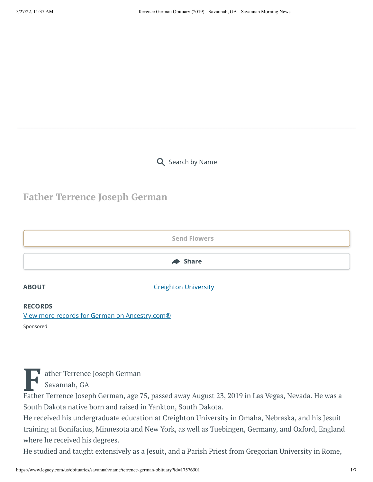Q Search by Name

## **Father Terrence Joseph German**



### RECORDS

[View more records for German on Ancestry.com®](https://adclick.g.doubleclick.net/pcs/click?xai=AKAOjstqP-MGsW66k_S-sVrR7VUvd_fXl5gBRKUnh2YsPXjc0fiRKCIm1El4obZMvnOoOwvt45aL9dh15S-SW1m9KPosRbYXAZNGzp-6Vzm76ANKDmo61fCLKfuzesMUHKYJyC1KdLSJJgBApZHbVc0mEIQNGTx61YCLkfoHy4Upy3AvAzFVVOYnSSZw6x0Hudy7r2F7C50xDv3IxbqMZLJRygI_MCTLMMWjOmjdAXJLlE_a__JRJnx4EdmqRRVKIPoXT9NfgqWw4Bra7tpmjTQGmC6iddeclGCeAnFkrCg4mmUP7JfnWABD4mn8wSziLONB_FFvVZqA_ijGxl9BuApWzRIZJw&sai=AMfl-YRy-gACbai03aYw_10S9Rcn0Ff5DHkPILQQZ09Gk2CnmEj22LsHPSlj5GhCBitXRFQknVoFd6d2Eq_JlJJTCCwvLoixXbfvez_HOlpWH7S-VSitrQ4AfNdZh0cJsRsxnuxY&sig=Cg0ArKJSzNOjiW_pwn10EAE&fbs_aeid=[gw_fbsaeid]&urlfix=1&adurl=https://prf.hn/click/camref:1101l3yjc/adref:81298/destination:https://www.ancestry.com/cs/partner-records%3FflowId%3DpartnersBirth%26gsfn%3DTerrence%26gsln%3DGerman)

ather Terrence Joseph German

Savannah, GA

Sponsored

Father Terrence Joseph German<br>
Father Terrence Joseph German, age 75, passed away August 23, 2019 in Las Vegas, Nevada. He was a South Dakota native born and raised in Yankton, South Dakota.

He received his undergraduate education at Creighton University in Omaha, Nebraska, and his Jesuit training at Bonifacius, Minnesota and New York, as well as Tuebingen, Germany, and Oxford, England where he received his degrees.

He studied and taught extensively as a Jesuit, and a Parish Priest from Gregorian University in Rome,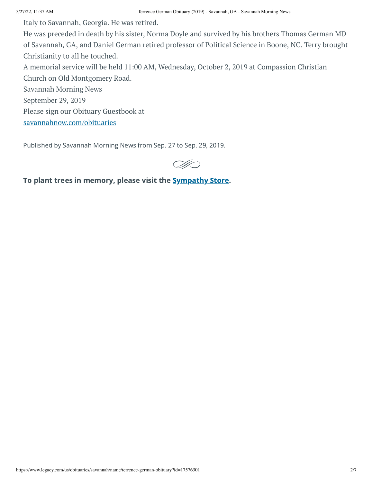Italy to Savannah, Georgia. He was retired.

He was preceded in death by his sister, Norma Doyle and survived by his brothers Thomas German MD of Savannah, GA, and Daniel German retired professor of Political Science in Boone, NC. Terry brought Christianity to all he touched.

A memorial service will be held 11:00 AM, Wednesday, October 2, 2019 at Compassion Christian Church on Old Montgomery Road.

Savannah Morning News

September 29, 2019

Please sign our Obituary Guestbook at

[savannahnow.com/obituaries](http://savannahnow.com/obituaries)

Published by Savannah Morning News from Sep. 27 to Sep. 29, 2019.



To plant trees in memory, please visit the **[Sympathy](https://sympathy.legacy.com/en-us/funeral-flowers/productdetails/?type=obituary&p=194015690&pn=terrence-german&affiliateId=1043&v=01&sku=tre-tim&pm=322) Store**.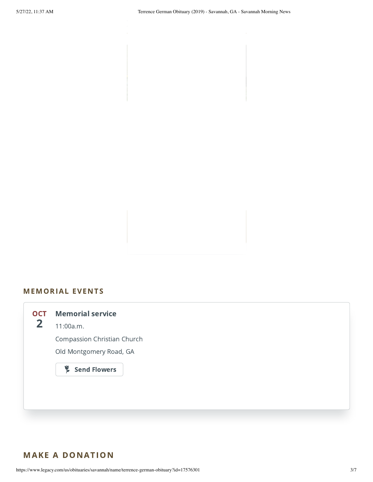## MEMORIAL EVENTS



## MAKE A DONATION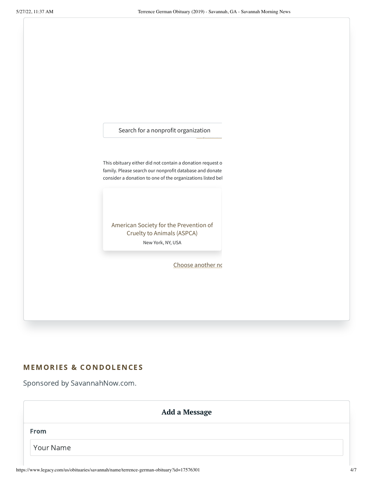<span id="page-3-0"></span>Search for a nonprofit organization [Request](https://www.pledge.to/support/organizations/new) for i This obituary either did not contain a donation request o family. Please search our nonprofit database and donate consider a donation to one of the organizations listed bel American Society for the Prevention of Cruelty to Animals (ASPCA) New York, NY, USA

# MEMORIES & CONDOLENCES

Sponsored by SavannahNow.com.

| Add a Message |  |
|---------------|--|
| From          |  |
| Your Name     |  |

Choose [another](#page-3-0) no